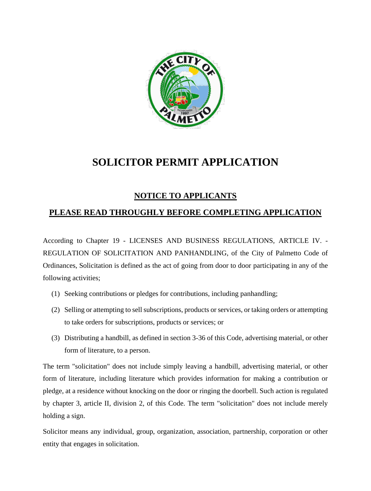

# **SOLICITOR PERMIT APPLICATION**

# **NOTICE TO APPLICANTS**

# **PLEASE READ THROUGHLY BEFORE COMPLETING APPLICATION**

According to Chapter 19 - LICENSES AND BUSINESS REGULATIONS, ARTICLE IV. - REGULATION OF SOLICITATION AND PANHANDLING, of the City of Palmetto Code of Ordinances, Solicitation is defined as the act of going from door to door participating in any of the following activities;

- (1) Seeking contributions or pledges for contributions, including panhandling;
- (2) Selling or attempting to sell subscriptions, products or services, or taking orders or attempting to take orders for subscriptions, products or services; or
- (3) Distributing a handbill, as defined in section 3-36 of this Code, advertising material, or other form of literature, to a person.

The term "solicitation" does not include simply leaving a handbill, advertising material, or other form of literature, including literature which provides information for making a contribution or pledge, at a residence without knocking on the door or ringing the doorbell. Such action is regulated by chapter 3, article II, division 2, of this Code. The term "solicitation" does not include merely holding a sign.

Solicitor means any individual, group, organization, association, partnership, corporation or other entity that engages in solicitation.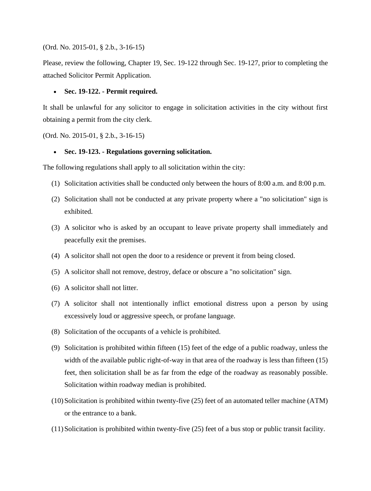(Ord. No. 2015-01, § 2.b., 3-16-15)

Please, review the following, Chapter 19, Sec. 19-122 through Sec. 19-127, prior to completing the attached Solicitor Permit Application.

### **Sec. 19-122. - Permit required.**

It shall be unlawful for any solicitor to engage in solicitation activities in the city without first obtaining a permit from the city clerk.

(Ord. No. 2015-01, § 2.b., 3-16-15)

### **Sec. 19-123. - Regulations governing solicitation.**

The following regulations shall apply to all solicitation within the city:

- (1) Solicitation activities shall be conducted only between the hours of 8:00 a.m. and 8:00 p.m.
- (2) Solicitation shall not be conducted at any private property where a "no solicitation" sign is exhibited.
- (3) A solicitor who is asked by an occupant to leave private property shall immediately and peacefully exit the premises.
- (4) A solicitor shall not open the door to a residence or prevent it from being closed.
- (5) A solicitor shall not remove, destroy, deface or obscure a "no solicitation" sign.
- (6) A solicitor shall not litter.
- (7) A solicitor shall not intentionally inflict emotional distress upon a person by using excessively loud or aggressive speech, or profane language.
- (8) Solicitation of the occupants of a vehicle is prohibited.
- (9) Solicitation is prohibited within fifteen (15) feet of the edge of a public roadway, unless the width of the available public right-of-way in that area of the roadway is less than fifteen (15) feet, then solicitation shall be as far from the edge of the roadway as reasonably possible. Solicitation within roadway median is prohibited.
- (10)Solicitation is prohibited within twenty-five (25) feet of an automated teller machine (ATM) or the entrance to a bank.
- (11)Solicitation is prohibited within twenty-five (25) feet of a bus stop or public transit facility.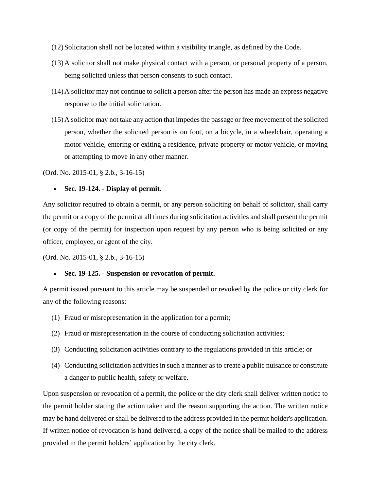- (12)Solicitation shall not be located within a visibility triangle, as defined by the Code.
- (13)A solicitor shall not make physical contact with a person, or personal property of a person, being solicited unless that person consents to such contact.
- (14)A solicitor may not continue to solicit a person after the person has made an express negative response to the initial solicitation.
- (15)A solicitor may not take any action that impedes the passage or free movement of the solicited person, whether the solicited person is on foot, on a bicycle, in a wheelchair, operating a motor vehicle, entering or exiting a residence, private property or motor vehicle, or moving or attempting to move in any other manner.

(Ord. No. 2015-01, § 2.b., 3-16-15)

#### **Sec. 19-124. - Display of permit.**

Any solicitor required to obtain a permit, or any person soliciting on behalf of solicitor, shall carry the permit or a copy of the permit at all times during solicitation activities and shall present the permit (or copy of the permit) for inspection upon request by any person who is being solicited or any officer, employee, or agent of the city.

(Ord. No. 2015-01, § 2.b., 3-16-15)

#### **Sec. 19-125. - Suspension or revocation of permit.**

A permit issued pursuant to this article may be suspended or revoked by the police or city clerk for any of the following reasons:

- (1) Fraud or misrepresentation in the application for a permit;
- (2) Fraud or misrepresentation in the course of conducting solicitation activities;
- (3) Conducting solicitation activities contrary to the regulations provided in this article; or
- (4) Conducting solicitation activities in such a manner as to create a public nuisance or constitute a danger to public health, safety or welfare.

Upon suspension or revocation of a permit, the police or the city clerk shall deliver written notice to the permit holder stating the action taken and the reason supporting the action. The written notice may be hand delivered or shall be delivered to the address provided in the permit holder's application. If written notice of revocation is hand delivered, a copy of the notice shall be mailed to the address provided in the permit holders' application by the city clerk.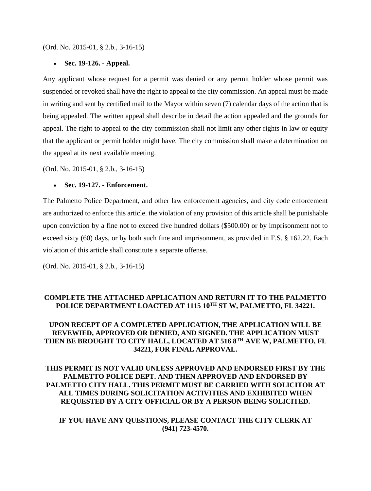(Ord. No. 2015-01, § 2.b., 3-16-15)

#### **Sec. 19-126. - Appeal.**

Any applicant whose request for a permit was denied or any permit holder whose permit was suspended or revoked shall have the right to appeal to the city commission. An appeal must be made in writing and sent by certified mail to the Mayor within seven (7) calendar days of the action that is being appealed. The written appeal shall describe in detail the action appealed and the grounds for appeal. The right to appeal to the city commission shall not limit any other rights in law or equity that the applicant or permit holder might have. The city commission shall make a determination on the appeal at its next available meeting.

(Ord. No. 2015-01, § 2.b., 3-16-15)

#### **Sec. 19-127. - Enforcement.**

The Palmetto Police Department, and other law enforcement agencies, and city code enforcement are authorized to enforce this article. the violation of any provision of this article shall be punishable upon conviction by a fine not to exceed five hundred dollars (\$500.00) or by imprisonment not to exceed sixty (60) days, or by both such fine and imprisonment, as provided in F.S. § 162.22. Each violation of this article shall constitute a separate offense.

(Ord. No. 2015-01, § 2.b., 3-16-15)

# **COMPLETE THE ATTACHED APPLICATION AND RETURN IT TO THE PALMETTO POLICE DEPARTMENT LOACTED AT 1115 10TH ST W, PALMETTO, FL 34221.**

# **UPON RECEPT OF A COMPLETED APPLICATION, THE APPLICATION WILL BE REVEWIED, APPROVED OR DENIED, AND SIGNED. THE APPLICATION MUST THEN BE BROUGHT TO CITY HALL, LOCATED AT 516 8TH AVE W, PALMETTO, FL 34221, FOR FINAL APPROVAL.**

**THIS PERMIT IS NOT VALID UNLESS APPROVED AND ENDORSED FIRST BY THE PALMETTO POLICE DEPT. AND THEN APPROVED AND ENDORSED BY PALMETTO CITY HALL. THIS PERMIT MUST BE CARRIED WITH SOLICITOR AT ALL TIMES DURING SOLICITATION ACTIVITIES AND EXHIBITED WHEN REQUESTED BY A CITY OFFICIAL OR BY A PERSON BEING SOLICITED.** 

## **IF YOU HAVE ANY QUESTIONS, PLEASE CONTACT THE CITY CLERK AT (941) 723-4570.**